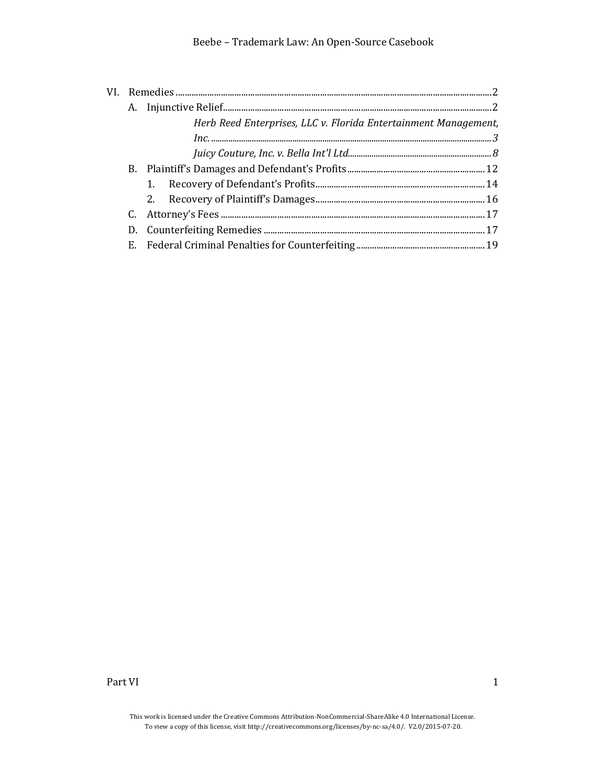|  | Herb Reed Enterprises, LLC v. Florida Entertainment Management, |  |
|--|-----------------------------------------------------------------|--|
|  |                                                                 |  |
|  |                                                                 |  |
|  |                                                                 |  |
|  |                                                                 |  |
|  |                                                                 |  |
|  |                                                                 |  |
|  |                                                                 |  |
|  |                                                                 |  |

Part VI and the set of the set of the set of the set of the set of the set of the set of the set of the set of the set of the set of the set of the set of the set of the set of the set of the set of the set of the set of t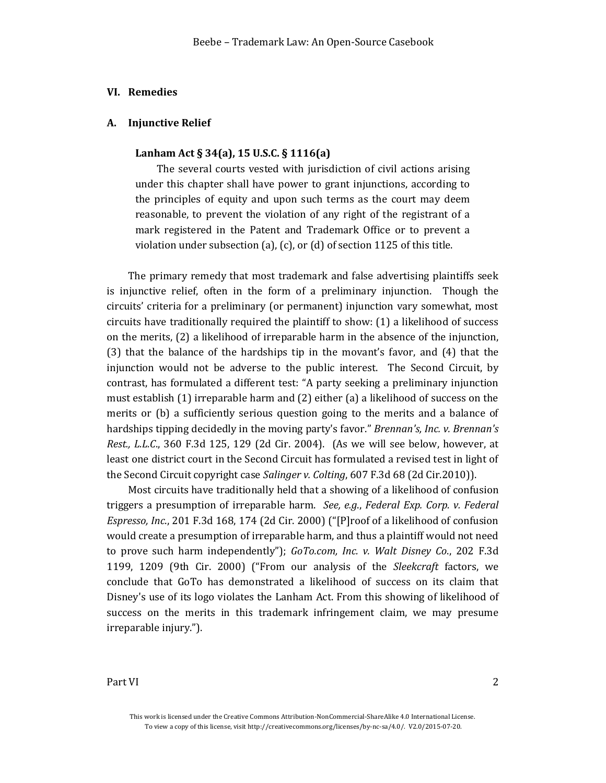## <span id="page-1-0"></span>**VI. Remedies**

#### <span id="page-1-1"></span>**A. Injunctive Relief**

#### **Lanham Act § 34(a), 15 U.S.C. § 1116(a)**

The several courts vested with jurisdiction of civil actions arising under this chapter shall have power to grant injunctions, according to the principles of equity and upon such terms as the court may deem reasonable, to prevent the violation of any right of the registrant of a mark registered in the Patent and Trademark Office or to prevent a violation under subsection (a), (c), or (d) of section 1125 of this title.

The primary remedy that most trademark and false advertising plaintiffs seek is injunctive relief, often in the form of a preliminary injunction. Though the circuits' criteria for a preliminary (or permanent) injunction vary somewhat, most circuits have traditionally required the plaintiff to show: (1) a likelihood of success on the merits, (2) a likelihood of irreparable harm in the absence of the injunction, (3) that the balance of the hardships tip in the movant's favor, and (4) that the injunction would not be adverse to the public interest. The Second Circuit, by contrast, has formulated a different test: "A party seeking a preliminary injunction must establish (1) irreparable harm and (2) either (a) a likelihood of success on the merits or (b) a sufficiently serious question going to the merits and a balance of hardships tipping decidedly in the moving party's favor." *Brennan's, Inc. v. Brennan's Rest., L.L.C*., 360 F.3d 125, 129 (2d Cir. 2004). (As we will see below, however, at least one district court in the Second Circuit has formulated a revised test in light of the Second Circuit copyright case *Salinger v. Colting*, 607 F.3d 68 (2d Cir.2010)).

Most circuits have traditionally held that a showing of a likelihood of confusion triggers a presumption of irreparable harm. *See, e.g*., *Federal Exp. Corp. v. Federal Espresso, Inc*., 201 F.3d 168, 174 (2d Cir. 2000) ("[P]roof of a likelihood of confusion would create a presumption of irreparable harm, and thus a plaintiff would not need to prove such harm independently"); *GoTo.com, Inc. v. Walt Disney Co*., 202 F.3d 1199, 1209 (9th Cir. 2000) ("From our analysis of the *Sleekcraft* factors, we conclude that GoTo has demonstrated a likelihood of success on its claim that Disney's use of its logo violates the Lanham Act. From this showing of likelihood of success on the merits in this trademark infringement claim, we may presume irreparable injury.").

This work is licensed under the Creative Commons Attribution-NonCommercial-ShareAlike 4.0 International License. To view a copy of this license, visit http://creativecommons.org/licenses/by-nc-sa/4.0/. V2.0/2015-07-20.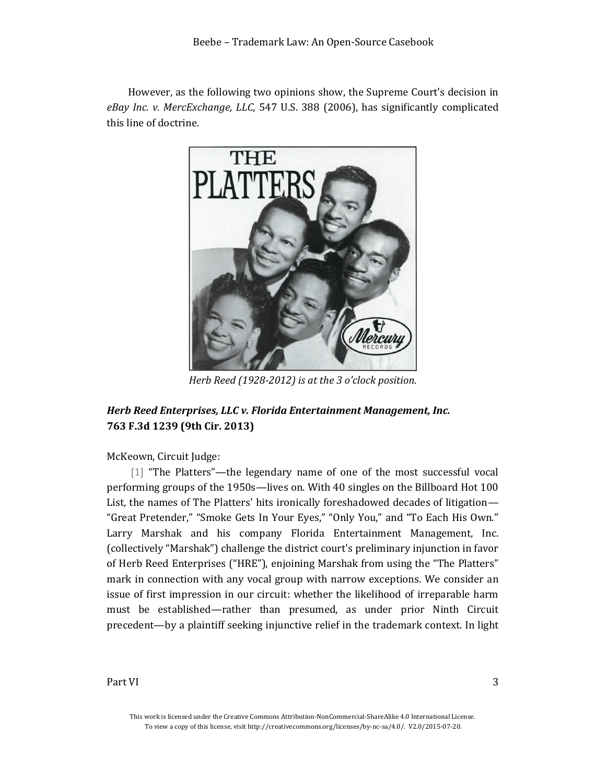However, as the following two opinions show, the Supreme Court's decision in *eBay Inc. v. MercExchange, LLC*, 547 U.S. 388 (2006), has significantly complicated this line of doctrine.



*Herb Reed (1928-2012) is at the 3 o'clock position.*

# <span id="page-2-0"></span>*Herb Reed Enterprises, LLC v. Florida Entertainment Management, Inc.* **763 F.3d 1239 (9th Cir. 2013)**

McKeown, Circuit Judge:

[1] "The Platters"—the legendary name of one of the most successful vocal performing groups of the 1950s—lives on. With 40 singles on the Billboard Hot 100 List, the names of The Platters' hits ironically foreshadowed decades of litigation— "Great Pretender," "Smoke Gets In Your Eyes," "Only You," and "To Each His Own." Larry Marshak and his company Florida Entertainment Management, Inc. (collectively "Marshak") challenge the district court's preliminary injunction in favor of Herb Reed Enterprises ("HRE"), enjoining Marshak from using the "The Platters" mark in connection with any vocal group with narrow exceptions. We consider an issue of first impression in our circuit: whether the likelihood of irreparable harm must be established—rather than presumed, as under prior Ninth Circuit precedent—by a plaintiff seeking injunctive relief in the trademark context. In light

This work is licensed under the Creative Commons Attribution-NonCommercial-ShareAlike 4.0 International License. To view a copy of this license, visit http://creativecommons.org/licenses/by-nc-sa/4.0/. V2.0/2015-07-20.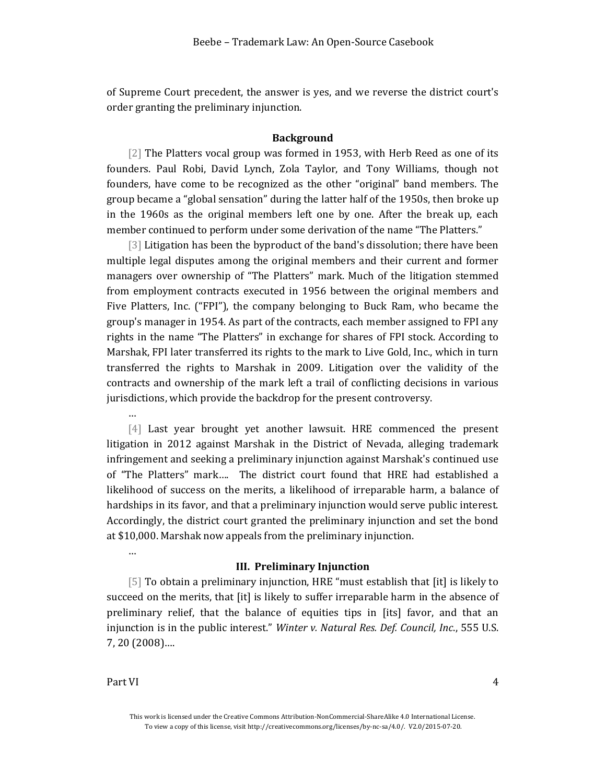of Supreme Court precedent, the answer is yes, and we reverse the district court's order granting the preliminary injunction.

## **Background**

[2] The Platters vocal group was formed in 1953, with Herb Reed as one of its founders. Paul Robi, David Lynch, Zola Taylor, and Tony Williams, though not founders, have come to be recognized as the other "original" band members. The group became a "global sensation" during the latter half of the 1950s, then broke up in the 1960s as the original members left one by one. After the break up, each member continued to perform under some derivation of the name "The Platters."

[3] Litigation has been the byproduct of the band's dissolution; there have been multiple legal disputes among the original members and their current and former managers over ownership of "The Platters" mark. Much of the litigation stemmed from employment contracts executed in 1956 between the original members and Five Platters, Inc. ("FPI"), the company belonging to Buck Ram, who became the group's manager in 1954. As part of the contracts, each member assigned to FPI any rights in the name "The Platters" in exchange for shares of FPI stock. According to Marshak, FPI later transferred its rights to the mark to Live Gold, Inc., which in turn transferred the rights to Marshak in 2009. Litigation over the validity of the contracts and ownership of the mark left a trail of conflicting decisions in various jurisdictions, which provide the backdrop for the present controversy.

…

…

[4] Last year brought yet another lawsuit. HRE commenced the present litigation in 2012 against Marshak in the District of Nevada, alleging trademark infringement and seeking a preliminary injunction against Marshak's continued use of "The Platters" mark…. The district court found that HRE had established a likelihood of success on the merits, a likelihood of irreparable harm, a balance of hardships in its favor, and that a preliminary injunction would serve public interest. Accordingly, the district court granted the preliminary injunction and set the bond at \$10,000. Marshak now appeals from the preliminary injunction.

#### **III. Preliminary Injunction**

[5] To obtain a preliminary injunction, HRE "must establish that [it] is likely to succeed on the merits, that [it] is likely to suffer irreparable harm in the absence of preliminary relief, that the balance of equities tips in [its] favor, and that an injunction is in the public interest." *Winter v. Natural Res. Def. Council, Inc*., 555 U.S. 7, 20 (2008)….

This work is licensed under the Creative Commons Attribution-NonCommercial-ShareAlike 4.0 International License. To view a copy of this license, visit http://creativecommons.org/licenses/by-nc-sa/4.0/. V2.0/2015-07-20.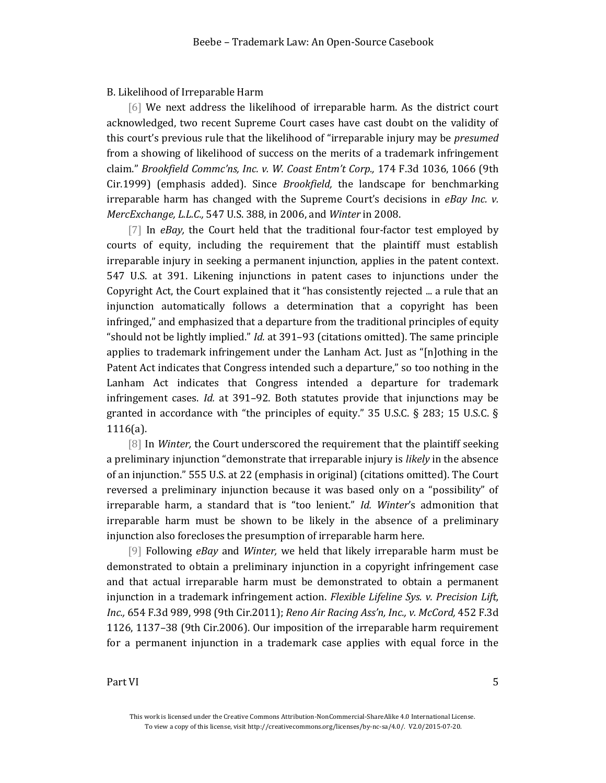## B. Likelihood of Irreparable Harm

[6] We next address the likelihood of irreparable harm. As the district court acknowledged, two recent Supreme Court cases have cast doubt on the validity of this court's previous rule that the likelihood of "irreparable injury may be *presumed*  from a showing of likelihood of success on the merits of a trademark infringement claim." *Brookfield Commc'ns, Inc. v. W. Coast Entm't Corp.,* 174 F.3d 1036, 1066 (9th Cir.1999) (emphasis added). Since *Brookfield,* the landscape for benchmarking irreparable harm has changed with the Supreme Court's decisions in *eBay Inc. v. MercExchange, L.L.C.,* 547 U.S. 388, in 2006, and *Winter* in 2008.

[7] In *eBay*, the Court held that the traditional four-factor test employed by courts of equity, including the requirement that the plaintiff must establish irreparable injury in seeking a permanent injunction, applies in the patent context. 547 U.S. at 391. Likening injunctions in patent cases to injunctions under the Copyright Act, the Court explained that it "has consistently rejected ... a rule that an injunction automatically follows a determination that a copyright has been infringed," and emphasized that a departure from the traditional principles of equity "should not be lightly implied." *Id.* at 391–93 (citations omitted). The same principle applies to trademark infringement under the Lanham Act. Just as "[n]othing in the Patent Act indicates that Congress intended such a departure," so too nothing in the Lanham Act indicates that Congress intended a departure for trademark infringement cases. *Id.* at 391–92. Both statutes provide that injunctions may be granted in accordance with "the principles of equity." 35 U.S.C. § 283; 15 U.S.C. § 1116(a).

[8] In *Winter,* the Court underscored the requirement that the plaintiff seeking a preliminary injunction "demonstrate that irreparable injury is *likely* in the absence of an injunction." 555 U.S. at 22 (emphasis in original) (citations omitted). The Court reversed a preliminary injunction because it was based only on a "possibility" of irreparable harm, a standard that is "too lenient." *Id. Winter*'s admonition that irreparable harm must be shown to be likely in the absence of a preliminary injunction also forecloses the presumption of irreparable harm here.

[9] Following *eBay* and *Winter,* we held that likely irreparable harm must be demonstrated to obtain a preliminary injunction in a copyright infringement case and that actual irreparable harm must be demonstrated to obtain a permanent injunction in a trademark infringement action. *Flexible Lifeline Sys. v. Precision Lift, Inc.,* 654 F.3d 989, 998 (9th Cir.2011); *Reno Air Racing Ass'n, Inc., v. McCord,* 452 F.3d 1126, 1137–38 (9th Cir.2006). Our imposition of the irreparable harm requirement for a permanent injunction in a trademark case applies with equal force in the

This work is licensed under the Creative Commons Attribution-NonCommercial-ShareAlike 4.0 International License. To view a copy of this license, visit http://creativecommons.org/licenses/by-nc-sa/4.0/. V2.0/2015-07-20.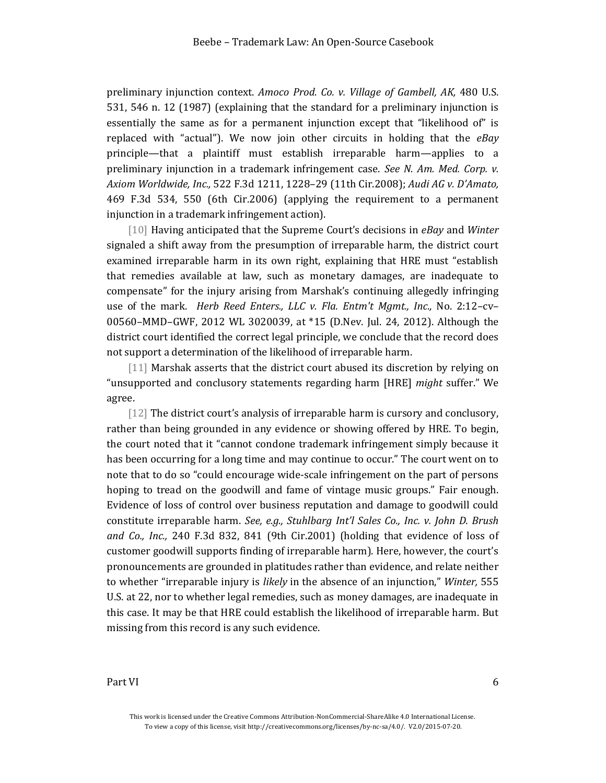preliminary injunction context. *Amoco Prod. Co. v. Village of Gambell, AK,* 480 U.S. 531, 546 n. 12 (1987) (explaining that the standard for a preliminary injunction is essentially the same as for a permanent injunction except that "likelihood of" is replaced with "actual"). We now join other circuits in holding that the *eBay* principle—that a plaintiff must establish irreparable harm—applies to a preliminary injunction in a trademark infringement case. *See N. Am. Med. Corp. v. Axiom Worldwide, Inc.,* 522 F.3d 1211, 1228–29 (11th Cir.2008); *Audi AG v. D'Amato,* 469 F.3d 534, 550 (6th Cir.2006) (applying the requirement to a permanent injunction in a trademark infringement action).

[10] Having anticipated that the Supreme Court's decisions in *eBay* and *Winter* signaled a shift away from the presumption of irreparable harm, the district court examined irreparable harm in its own right, explaining that HRE must "establish that remedies available at law, such as monetary damages, are inadequate to compensate" for the injury arising from Marshak's continuing allegedly infringing use of the mark. *Herb Reed Enters., LLC v. Fla. Entm't Mgmt., Inc.,* No. 2:12–cv– 00560–MMD–GWF, 2012 WL 3020039, at \*15 (D.Nev. Jul. 24, 2012). Although the district court identified the correct legal principle, we conclude that the record does not support a determination of the likelihood of irreparable harm.

[11] Marshak asserts that the district court abused its discretion by relying on "unsupported and conclusory statements regarding harm [HRE] *might* suffer." We agree.

[12] The district court's analysis of irreparable harm is cursory and conclusory, rather than being grounded in any evidence or showing offered by HRE. To begin, the court noted that it "cannot condone trademark infringement simply because it has been occurring for a long time and may continue to occur." The court went on to note that to do so "could encourage wide-scale infringement on the part of persons hoping to tread on the goodwill and fame of vintage music groups." Fair enough. Evidence of loss of control over business reputation and damage to goodwill could constitute irreparable harm. *See, e.g., Stuhlbarg Int'l Sales Co., Inc. v. John D. Brush and Co., Inc.,* 240 F.3d 832, 841 (9th Cir.2001) (holding that evidence of loss of customer goodwill supports finding of irreparable harm). Here, however, the court's pronouncements are grounded in platitudes rather than evidence, and relate neither to whether "irreparable injury is *likely* in the absence of an injunction," *Winter,* 555 U.S. at 22, nor to whether legal remedies, such as money damages, are inadequate in this case. It may be that HRE could establish the likelihood of irreparable harm. But missing from this record is any such evidence.

This work is licensed under the Creative Commons Attribution-NonCommercial-ShareAlike 4.0 International License. To view a copy of this license, visit http://creativecommons.org/licenses/by-nc-sa/4.0/. V2.0/2015-07-20.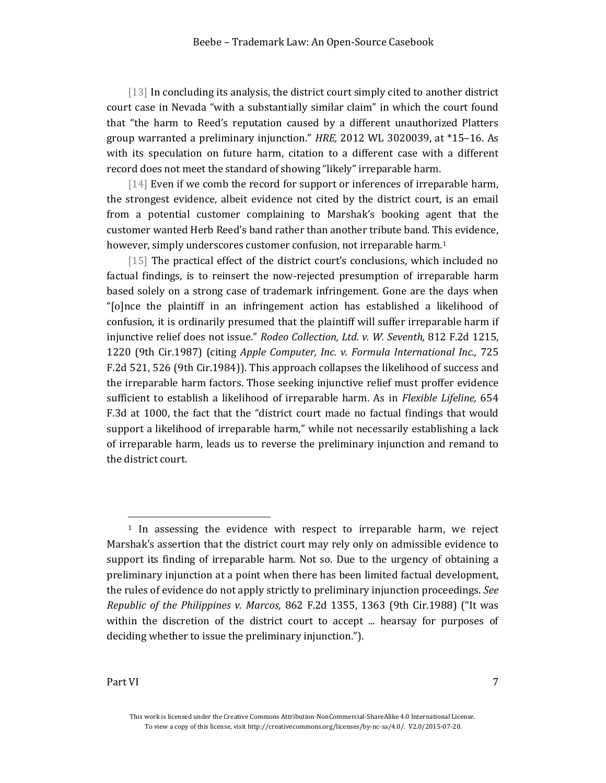[13] In concluding its analysis, the district court simply cited to another district court case in Nevada "with a substantially similar claim" in which the court found that "the harm to Reed's reputation caused by a different unauthorized Platters group warranted a preliminary injunction." *HRE,* 2012 WL 3020039, at \*15–16. As with its speculation on future harm, citation to a different case with a different record does not meet the standard of showing "likely" irreparable harm.

[14] Even if we comb the record for support or inferences of irreparable harm, the strongest evidence, albeit evidence not cited by the district court, is an email from a potential customer complaining to Marshak's booking agent that the customer wanted Herb Reed's band rather than another tribute band. This evidence, however, simply underscores customer confusion, not irreparable harm.<sup>1</sup>

[15] The practical effect of the district court's conclusions, which included no factual findings, is to reinsert the now-rejected presumption of irreparable harm based solely on a strong case of trademark infringement. Gone are the days when "[o]nce the plaintiff in an infringement action has established a likelihood of confusion, it is ordinarily presumed that the plaintiff will suffer irreparable harm if injunctive relief does not issue." *Rodeo Collection, Ltd. v. W. Seventh,* 812 F.2d 1215, 1220 (9th Cir.1987) (citing *Apple Computer, Inc. v. Formula International Inc.,* 725 F.2d 521, 526 (9th Cir.1984)). This approach collapses the likelihood of success and the irreparable harm factors. Those seeking injunctive relief must proffer evidence sufficient to establish a likelihood of irreparable harm. As in *Flexible Lifeline,* 654 F.3d at 1000, the fact that the "district court made no factual findings that would support a likelihood of irreparable harm," while not necessarily establishing a lack of irreparable harm, leads us to reverse the preliminary injunction and remand to the district court.

l

<sup>1</sup> In assessing the evidence with respect to irreparable harm, we reject Marshak's assertion that the district court may rely only on admissible evidence to support its finding of irreparable harm. Not so. Due to the urgency of obtaining a preliminary injunction at a point when there has been limited factual development, the rules of evidence do not apply strictly to preliminary injunction proceedings. *See Republic of the Philippines v. Marcos,* 862 F.2d 1355, 1363 (9th Cir.1988) ("It was within the discretion of the district court to accept ... hearsay for purposes of deciding whether to issue the preliminary injunction.").

This work is licensed under the Creative Commons Attribution-NonCommercial-ShareAlike 4.0 International License. To view a copy of this license, visit http://creativecommons.org/licenses/by-nc-sa/4.0/. V2.0/2015-07-20.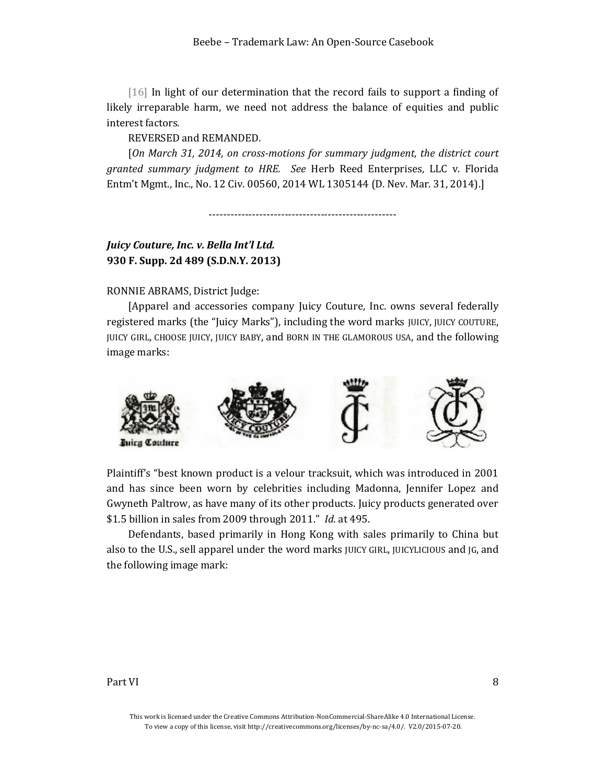[16] In light of our determination that the record fails to support a finding of likely irreparable harm, we need not address the balance of equities and public interest factors.

REVERSED and REMANDED.

[*On March 31, 2014, on cross-motions for summary judgment, the district court granted summary judgment to HRE. See* Herb Reed Enterprises, LLC v. Florida Entm't Mgmt., Inc., No. 12 Civ. 00560, 2014 WL 1305144 (D. Nev. Mar. 31, 2014).]

----------------------------------------------------

# <span id="page-7-0"></span>*Juicy Couture, Inc. v. Bella Int'l Ltd.* **930 F. Supp. 2d 489 (S.D.N.Y. 2013)**

## RONNIE ABRAMS, District Judge:

[Apparel and accessories company Juicy Couture, Inc. owns several federally registered marks (the "Juicy Marks"), including the word marks JUICY, JUICY COUTURE, JUICY GIRL, CHOOSE JUICY, JUICY BABY, and BORN IN THE GLAMOROUS USA, and the following image marks:



Plaintiff's "best known product is a velour tracksuit, which was introduced in 2001 and has since been worn by celebrities including Madonna, Jennifer Lopez and Gwyneth Paltrow, as have many of its other products. Juicy products generated over \$1.5 billion in sales from 2009 through 2011." *Id*. at 495.

Defendants, based primarily in Hong Kong with sales primarily to China but also to the U.S., sell apparel under the word marks JUICY GIRL, JUICYLICIOUS and JG, and the following image mark:

#### Part VI and the set of the set of the set of the set of the set of the set of the set of the set of the set of the set of the set of the set of the set of the set of the set of the set of the set of the set of the set of t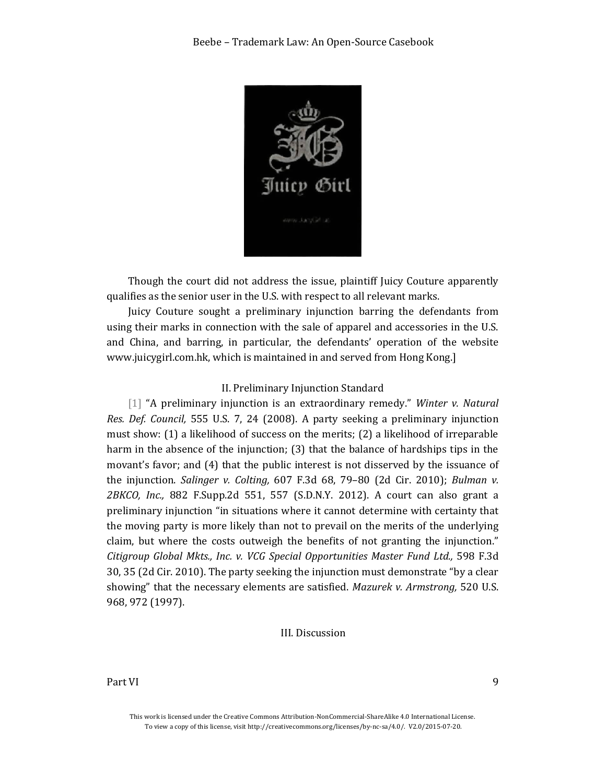

Though the court did not address the issue, plaintiff Juicy Couture apparently qualifies as the senior user in the U.S. with respect to all relevant marks.

Juicy Couture sought a preliminary injunction barring the defendants from using their marks in connection with the sale of apparel and accessories in the U.S. and China, and barring, in particular, the defendants' operation of the website www.juicygirl.com.hk, which is maintained in and served from Hong Kong.]

## II. Preliminary Injunction Standard

[1] "A preliminary injunction is an extraordinary remedy." *Winter v. Natural Res. Def. Council,* 555 U.S. 7, 24 (2008). A party seeking a preliminary injunction must show: (1) a likelihood of success on the merits; (2) a likelihood of irreparable harm in the absence of the injunction; (3) that the balance of hardships tips in the movant's favor; and (4) that the public interest is not disserved by the issuance of the injunction. *Salinger v. Colting,* 607 F.3d 68, 79–80 (2d Cir. 2010); *Bulman v. 2BKCO, Inc.,* 882 F.Supp.2d 551, 557 (S.D.N.Y. 2012). A court can also grant a preliminary injunction "in situations where it cannot determine with certainty that the moving party is more likely than not to prevail on the merits of the underlying claim, but where the costs outweigh the benefits of not granting the injunction." *Citigroup Global Mkts., Inc. v. VCG Special Opportunities Master Fund Ltd.,* 598 F.3d 30, 35 (2d Cir. 2010). The party seeking the injunction must demonstrate "by a clear showing" that the necessary elements are satisfied. *Mazurek v. Armstrong,* 520 U.S. 968, 972 (1997).

### III. Discussion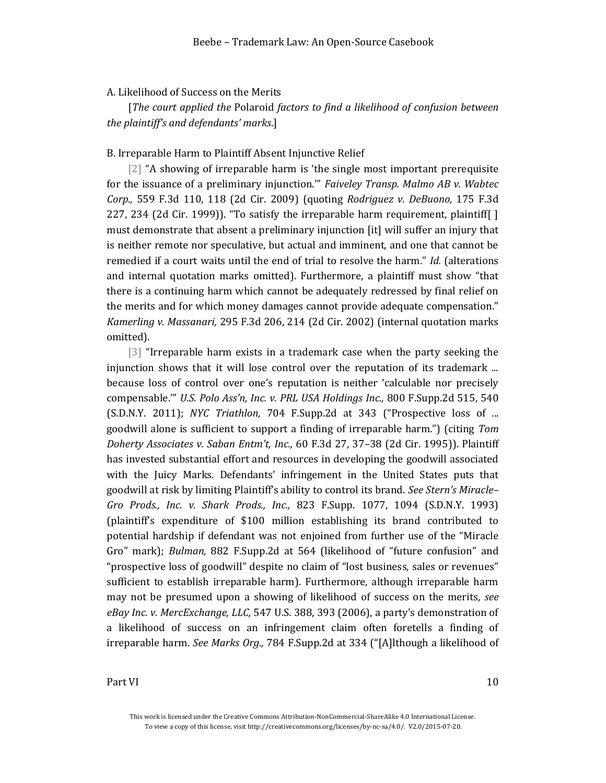## A. Likelihood of Success on the Merits

[*The court applied the* Polaroid *factors to find a likelihood of confusion between the plaintiff's and defendants' marks*.]

#### B. Irreparable Harm to Plaintiff Absent Injunctive Relief

[2] "A showing of irreparable harm is 'the single most important prerequisite for the issuance of a preliminary injunction.'" *Faiveley Transp. Malmo AB v. Wabtec Corp.,* 559 F.3d 110, 118 (2d Cir. 2009) (quoting *Rodriguez v. DeBuono,* 175 F.3d 227, 234 (2d Cir. 1999)). "To satisfy the irreparable harm requirement, plaintiff[ ] must demonstrate that absent a preliminary injunction [it] will suffer an injury that is neither remote nor speculative, but actual and imminent, and one that cannot be remedied if a court waits until the end of trial to resolve the harm." *Id.* (alterations and internal quotation marks omitted). Furthermore, a plaintiff must show "that there is a continuing harm which cannot be adequately redressed by final relief on the merits and for which money damages cannot provide adequate compensation." *Kamerling v. Massanari,* 295 F.3d 206, 214 (2d Cir. 2002) (internal quotation marks omitted).

[3] "Irreparable harm exists in a trademark case when the party seeking the injunction shows that it will lose control over the reputation of its trademark ... because loss of control over one's reputation is neither 'calculable nor precisely compensable.'" *U.S. Polo Ass'n, Inc. v. PRL USA Holdings Inc.,* 800 F.Supp.2d 515, 540 (S.D.N.Y. 2011); *NYC Triathlon,* 704 F.Supp.2d at 343 ("Prospective loss of ... goodwill alone is sufficient to support a finding of irreparable harm.") (citing *Tom Doherty Associates v. Saban Entm't, Inc.,* 60 F.3d 27, 37–38 (2d Cir. 1995)). Plaintiff has invested substantial effort and resources in developing the goodwill associated with the Juicy Marks. Defendants' infringement in the United States puts that goodwill at risk by limiting Plaintiff's ability to control its brand. *See Stern's Miracle– Gro Prods., Inc. v. Shark Prods., Inc.,* 823 F.Supp. 1077, 1094 (S.D.N.Y. 1993) (plaintiff's expenditure of \$100 million establishing its brand contributed to potential hardship if defendant was not enjoined from further use of the "Miracle Gro" mark); *Bulman,* 882 F.Supp.2d at 564 (likelihood of "future confusion" and "prospective loss of goodwill" despite no claim of "lost business, sales or revenues" sufficient to establish irreparable harm). Furthermore, although irreparable harm may not be presumed upon a showing of likelihood of success on the merits, *see eBay Inc. v. MercExchange, LLC,* 547 U.S. 388, 393 (2006), a party's demonstration of a likelihood of success on an infringement claim often foretells a finding of irreparable harm. *See Marks Org.,* 784 F.Supp.2d at 334 ("[A]lthough a likelihood of

This work is licensed under the Creative Commons Attribution-NonCommercial-ShareAlike 4.0 International License. To view a copy of this license, visit http://creativecommons.org/licenses/by-nc-sa/4.0/. V2.0/2015-07-20.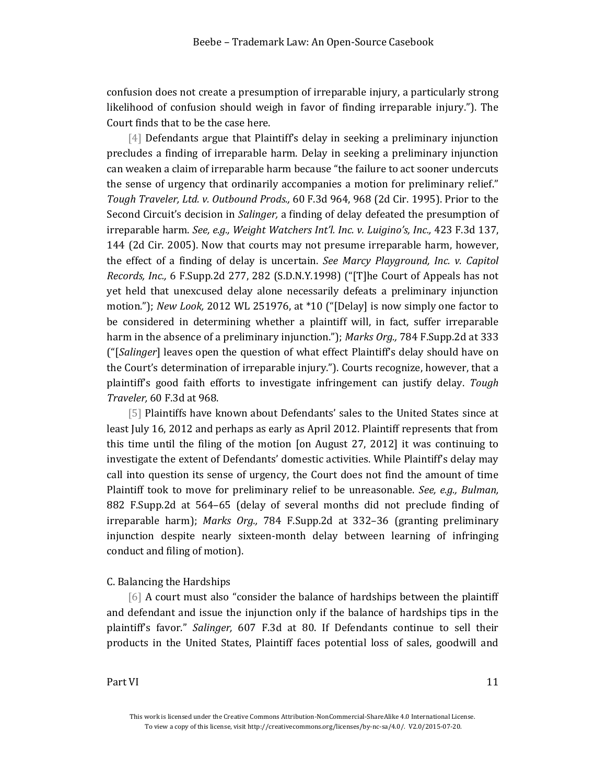confusion does not create a presumption of irreparable injury, a particularly strong likelihood of confusion should weigh in favor of finding irreparable injury."). The Court finds that to be the case here.

[4] Defendants argue that Plaintiff's delay in seeking a preliminary injunction precludes a finding of irreparable harm. Delay in seeking a preliminary injunction can weaken a claim of irreparable harm because "the failure to act sooner undercuts the sense of urgency that ordinarily accompanies a motion for preliminary relief." *Tough Traveler, Ltd. v. Outbound Prods.,* 60 F.3d 964, 968 (2d Cir. 1995). Prior to the Second Circuit's decision in *Salinger,* a finding of delay defeated the presumption of irreparable harm. *See, e.g., Weight Watchers Int'l. Inc. v. Luigino's, Inc.,* 423 F.3d 137, 144 (2d Cir. 2005). Now that courts may not presume irreparable harm, however, the effect of a finding of delay is uncertain. *See Marcy Playground, Inc. v. Capitol Records, Inc.,* 6 F.Supp.2d 277, 282 (S.D.N.Y.1998) ("[T]he Court of Appeals has not yet held that unexcused delay alone necessarily defeats a preliminary injunction motion."); *New Look,* 2012 WL 251976, at \*10 ("[Delay] is now simply one factor to be considered in determining whether a plaintiff will, in fact, suffer irreparable harm in the absence of a preliminary injunction."); *Marks Org.,* 784 F.Supp.2d at 333 ("[*Salinger*] leaves open the question of what effect Plaintiff's delay should have on the Court's determination of irreparable injury."). Courts recognize, however, that a plaintiff's good faith efforts to investigate infringement can justify delay. *Tough Traveler,* 60 F.3d at 968.

[5] Plaintiffs have known about Defendants' sales to the United States since at least July 16, 2012 and perhaps as early as April 2012. Plaintiff represents that from this time until the filing of the motion [on August 27, 2012] it was continuing to investigate the extent of Defendants' domestic activities. While Plaintiff's delay may call into question its sense of urgency, the Court does not find the amount of time Plaintiff took to move for preliminary relief to be unreasonable. *See, e.g., Bulman,* 882 F.Supp.2d at 564–65 (delay of several months did not preclude finding of irreparable harm); *Marks Org.,* 784 F.Supp.2d at 332–36 (granting preliminary injunction despite nearly sixteen-month delay between learning of infringing conduct and filing of motion).

### C. Balancing the Hardships

[6] A court must also "consider the balance of hardships between the plaintiff and defendant and issue the injunction only if the balance of hardships tips in the plaintiff's favor." *Salinger,* 607 F.3d at 80. If Defendants continue to sell their products in the United States, Plaintiff faces potential loss of sales, goodwill and

This work is licensed under the Creative Commons Attribution-NonCommercial-ShareAlike 4.0 International License. To view a copy of this license, visit http://creativecommons.org/licenses/by-nc-sa/4.0/. V2.0/2015-07-20.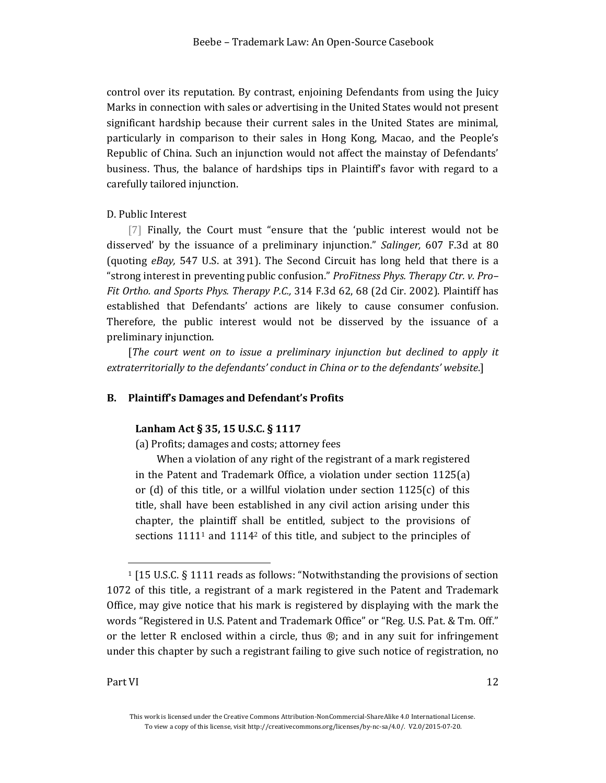control over its reputation. By contrast, enjoining Defendants from using the Juicy Marks in connection with sales or advertising in the United States would not present significant hardship because their current sales in the United States are minimal, particularly in comparison to their sales in Hong Kong, Macao, and the People's Republic of China. Such an injunction would not affect the mainstay of Defendants' business. Thus, the balance of hardships tips in Plaintiff's favor with regard to a carefully tailored injunction.

## D. Public Interest

[7] Finally, the Court must "ensure that the 'public interest would not be disserved' by the issuance of a preliminary injunction." *Salinger,* 607 F.3d at 80 (quoting *eBay,* 547 U.S. at 391). The Second Circuit has long held that there is a "strong interest in preventing public confusion." *ProFitness Phys. Therapy Ctr. v. Pro– Fit Ortho. and Sports Phys. Therapy P.C.,* 314 F.3d 62, 68 (2d Cir. 2002). Plaintiff has established that Defendants' actions are likely to cause consumer confusion. Therefore, the public interest would not be disserved by the issuance of a preliminary injunction.

[*The court went on to issue a preliminary injunction but declined to apply it extraterritorially to the defendants' conduct in China or to the defendants' website*.]

## <span id="page-11-0"></span>**B. Plaintiff's Damages and Defendant's Profits**

#### **Lanham Act § 35, 15 U.S.C. § 1117**

(a) Profits; damages and costs; attorney fees

When a violation of any right of the registrant of a mark registered in the Patent and Trademark Office, a violation under section 1125(a) or (d) of this title, or a willful violation under section 1125(c) of this title, shall have been established in any civil action arising under this chapter, the plaintiff shall be entitled, subject to the provisions of sections 1111<sup>1</sup> and 1114<sup>2</sup> of this title, and subject to the principles of

l

<sup>1</sup> [15 U.S.C. § 1111 reads as follows: "Notwithstanding the provisions of section 1072 of this title, a registrant of a mark registered in the Patent and Trademark Office, may give notice that his mark is registered by displaying with the mark the words "Registered in U.S. Patent and Trademark Office" or "Reg. U.S. Pat. & Tm. Off." or the letter R enclosed within a circle, thus  $\mathcal{B}$ ; and in any suit for infringement under this chapter by such a registrant failing to give such notice of registration, no

This work is licensed under the Creative Commons Attribution-NonCommercial-ShareAlike 4.0 International License. To view a copy of this license, visit http://creativecommons.org/licenses/by-nc-sa/4.0/. V2.0/2015-07-20.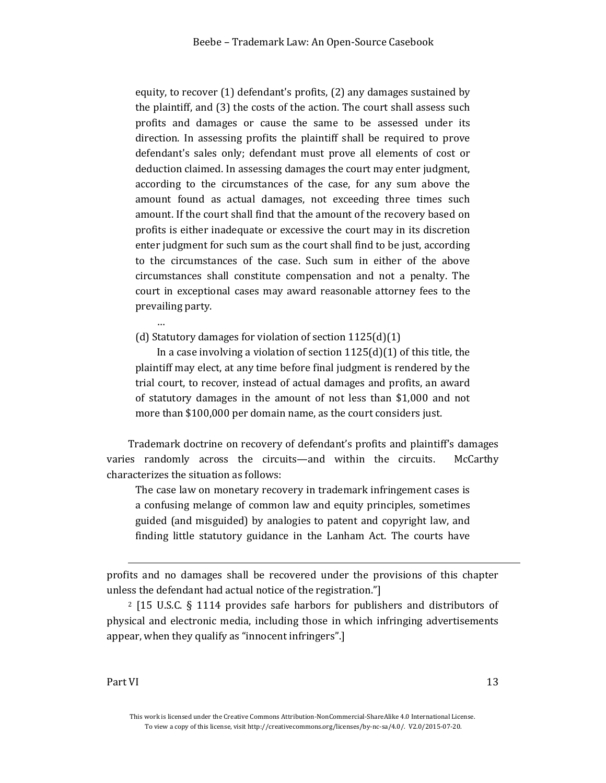equity, to recover (1) defendant's profits, (2) any damages sustained by the plaintiff, and (3) the costs of the action. The court shall assess such profits and damages or cause the same to be assessed under its direction. In assessing profits the plaintiff shall be required to prove defendant's sales only; defendant must prove all elements of cost or deduction claimed. In assessing damages the court may enter judgment, according to the circumstances of the case, for any sum above the amount found as actual damages, not exceeding three times such amount. If the court shall find that the amount of the recovery based on profits is either inadequate or excessive the court may in its discretion enter judgment for such sum as the court shall find to be just, according to the circumstances of the case. Such sum in either of the above circumstances shall constitute compensation and not a penalty. The court in exceptional cases may award reasonable attorney fees to the prevailing party.

(d) Statutory damages for violation of section 1125(d)(1)

In a case involving a violation of section  $1125(d)(1)$  of this title, the plaintiff may elect, at any time before final judgment is rendered by the trial court, to recover, instead of actual damages and profits, an award of statutory damages in the amount of not less than \$1,000 and not more than \$100,000 per domain name, as the court considers just.

Trademark doctrine on recovery of defendant's profits and plaintiff's damages varies randomly across the circuits—and within the circuits. McCarthy characterizes the situation as follows:

The case law on monetary recovery in trademark infringement cases is a confusing melange of common law and equity principles, sometimes guided (and misguided) by analogies to patent and copyright law, and finding little statutory guidance in the Lanham Act. The courts have

profits and no damages shall be recovered under the provisions of this chapter unless the defendant had actual notice of the registration."]

<sup>2</sup> [15 U.S.C. § 1114 provides safe harbors for publishers and distributors of physical and electronic media, including those in which infringing advertisements appear, when they qualify as "innocent infringers".]

l

…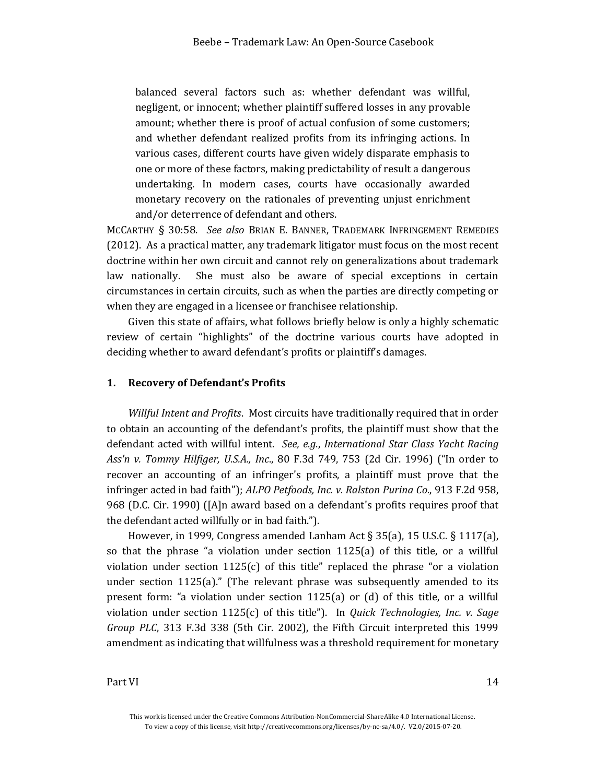balanced several factors such as: whether defendant was willful, negligent, or innocent; whether plaintiff suffered losses in any provable amount; whether there is proof of actual confusion of some customers; and whether defendant realized profits from its infringing actions. In various cases, different courts have given widely disparate emphasis to one or more of these factors, making predictability of result a dangerous undertaking. In modern cases, courts have occasionally awarded monetary recovery on the rationales of preventing unjust enrichment and/or deterrence of defendant and others.

MCCARTHY § 30:58. *See also* BRIAN E. BANNER, TRADEMARK INFRINGEMENT REMEDIES (2012). As a practical matter, any trademark litigator must focus on the most recent doctrine within her own circuit and cannot rely on generalizations about trademark law nationally. She must also be aware of special exceptions in certain circumstances in certain circuits, such as when the parties are directly competing or when they are engaged in a licensee or franchisee relationship.

Given this state of affairs, what follows briefly below is only a highly schematic review of certain "highlights" of the doctrine various courts have adopted in deciding whether to award defendant's profits or plaintiff's damages.

#### <span id="page-13-0"></span>**1. Recovery of Defendant's Profits**

*Willful Intent and Profits*. Most circuits have traditionally required that in order to obtain an accounting of the defendant's profits, the plaintiff must show that the defendant acted with willful intent. *See, e.g*., *International Star Class Yacht Racing Ass'n v. Tommy Hilfiger, U.S.A., Inc*., 80 F.3d 749, 753 (2d Cir. 1996) ("In order to recover an accounting of an infringer's profits, a plaintiff must prove that the infringer acted in bad faith"); *ALPO Petfoods, Inc. v. Ralston Purina Co*., 913 F.2d 958, 968 (D.C. Cir. 1990) ([A]n award based on a defendant's profits requires proof that the defendant acted willfully or in bad faith.").

However, in 1999, Congress amended Lanham Act § 35(a), 15 U.S.C. § 1117(a), so that the phrase "a violation under section 1125(a) of this title, or a willful violation under section  $1125(c)$  of this title" replaced the phrase "or a violation under section 1125(a)." (The relevant phrase was subsequently amended to its present form: "a violation under section 1125(a) or (d) of this title, or a willful violation under section 1125(c) of this title"). In *Quick Technologies, Inc. v. Sage Group PLC*, 313 F.3d 338 (5th Cir. 2002), the Fifth Circuit interpreted this 1999 amendment as indicating that willfulness was a threshold requirement for monetary

This work is licensed under the Creative Commons Attribution-NonCommercial-ShareAlike 4.0 International License. To view a copy of this license, visit http://creativecommons.org/licenses/by-nc-sa/4.0/. V2.0/2015-07-20.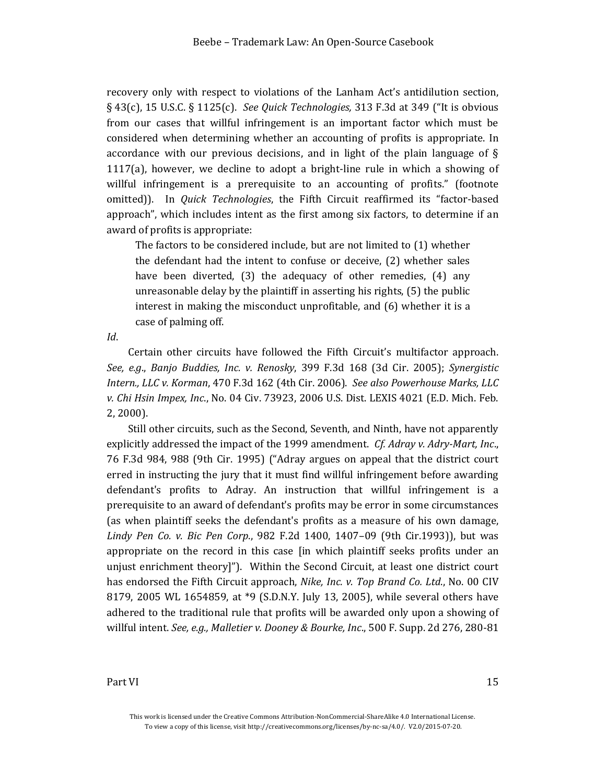recovery only with respect to violations of the Lanham Act's antidilution section, § 43(c), 15 U.S.C. § 1125(c). *See Quick Technologies,* 313 F.3d at 349 ("It is obvious from our cases that willful infringement is an important factor which must be considered when determining whether an accounting of profits is appropriate. In accordance with our previous decisions, and in light of the plain language of § 1117(a), however, we decline to adopt a bright-line rule in which a showing of willful infringement is a prerequisite to an accounting of profits." (footnote omitted)). In *Quick Technologies*, the Fifth Circuit reaffirmed its "factor-based approach", which includes intent as the first among six factors, to determine if an award of profits is appropriate:

The factors to be considered include, but are not limited to (1) whether the defendant had the intent to confuse or deceive, (2) whether sales have been diverted, (3) the adequacy of other remedies, (4) any unreasonable delay by the plaintiff in asserting his rights, (5) the public interest in making the misconduct unprofitable, and (6) whether it is a case of palming off.

*Id*.

Certain other circuits have followed the Fifth Circuit's multifactor approach. *See, e.g*., *Banjo Buddies, Inc. v. Renosky*, 399 F.3d 168 (3d Cir. 2005); *Synergistic Intern., LLC v. Korman*, 470 F.3d 162 (4th Cir. 2006). *See also Powerhouse Marks, LLC v. Chi Hsin Impex, Inc*., No. 04 Civ. 73923, 2006 U.S. Dist. LEXIS 4021 (E.D. Mich. Feb. 2, 2000).

Still other circuits, such as the Second, Seventh, and Ninth, have not apparently explicitly addressed the impact of the 1999 amendment. *Cf. Adray v. Adry-Mart, Inc*., 76 F.3d 984, 988 (9th Cir. 1995) ("Adray argues on appeal that the district court erred in instructing the jury that it must find willful infringement before awarding defendant's profits to Adray. An instruction that willful infringement is a prerequisite to an award of defendant's profits may be error in some circumstances (as when plaintiff seeks the defendant's profits as a measure of his own damage, *Lindy Pen Co. v. Bic Pen Corp*., 982 F.2d 1400, 1407–09 (9th Cir.1993)), but was appropriate on the record in this case [in which plaintiff seeks profits under an unjust enrichment theory]"). Within the Second Circuit, at least one district court has endorsed the Fifth Circuit approach, *Nike, Inc. v. Top Brand Co. Ltd*., No. 00 CIV 8179, 2005 WL 1654859, at \*9 (S.D.N.Y. July 13, 2005), while several others have adhered to the traditional rule that profits will be awarded only upon a showing of willful intent. *See, e.g., Malletier v. Dooney & Bourke, Inc*., 500 F. Supp. 2d 276, 280-81

This work is licensed under the Creative Commons Attribution-NonCommercial-ShareAlike 4.0 International License. To view a copy of this license, visit http://creativecommons.org/licenses/by-nc-sa/4.0/. V2.0/2015-07-20.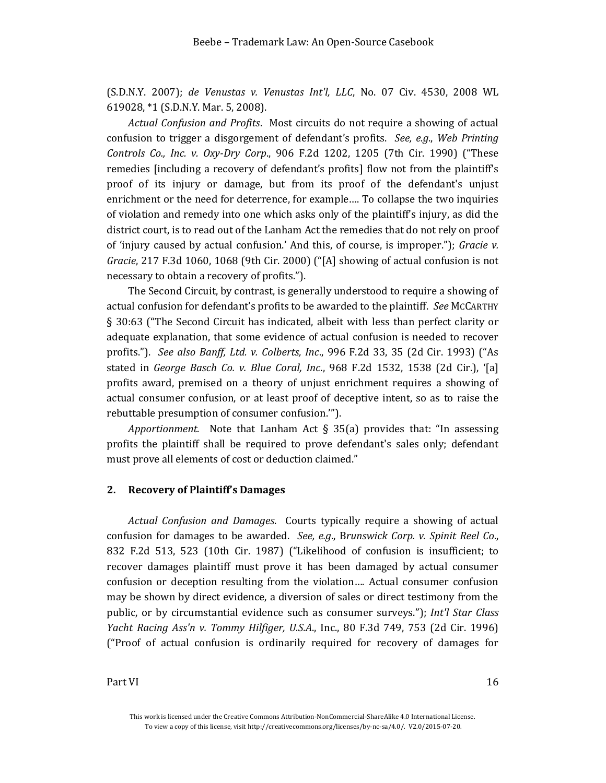(S.D.N.Y. 2007); *de Venustas v. Venustas Int'l, LLC*, No. 07 Civ. 4530, 2008 WL 619028, \*1 (S.D.N.Y. Mar. 5, 2008).

*Actual Confusion and Profits*. Most circuits do not require a showing of actual confusion to trigger a disgorgement of defendant's profits. *See, e.g*., *Web Printing Controls Co., Inc. v. Oxy-Dry Corp*., 906 F.2d 1202, 1205 (7th Cir. 1990) ("These remedies [including a recovery of defendant's profits] flow not from the plaintiff's proof of its injury or damage, but from its proof of the defendant's unjust enrichment or the need for deterrence, for example…. To collapse the two inquiries of violation and remedy into one which asks only of the plaintiff's injury, as did the district court, is to read out of the Lanham Act the remedies that do not rely on proof of 'injury caused by actual confusion.' And this, of course, is improper."); *Gracie v. Gracie*, 217 F.3d 1060, 1068 (9th Cir. 2000) ("[A] showing of actual confusion is not necessary to obtain a recovery of profits.").

The Second Circuit, by contrast, is generally understood to require a showing of actual confusion for defendant's profits to be awarded to the plaintiff. *See* MCCARTHY § 30:63 ("The Second Circuit has indicated, albeit with less than perfect clarity or adequate explanation, that some evidence of actual confusion is needed to recover profits."). *See also Banff, Ltd. v. Colberts, Inc*., 996 F.2d 33, 35 (2d Cir. 1993) ("As stated in *George Basch Co. v. Blue Coral, Inc*., 968 F.2d 1532, 1538 (2d Cir.), '[a] profits award, premised on a theory of unjust enrichment requires a showing of actual consumer confusion, or at least proof of deceptive intent, so as to raise the rebuttable presumption of consumer confusion.'").

*Apportionment*. Note that Lanham Act § 35(a) provides that: "In assessing profits the plaintiff shall be required to prove defendant's sales only; defendant must prove all elements of cost or deduction claimed."

#### <span id="page-15-0"></span>**2. Recovery of Plaintiff's Damages**

*Actual Confusion and Damages*. Courts typically require a showing of actual confusion for damages to be awarded. *See, e.g*., B*runswick Corp. v. Spinit Reel Co*., 832 F.2d 513, 523 (10th Cir. 1987) ("Likelihood of confusion is insufficient; to recover damages plaintiff must prove it has been damaged by actual consumer confusion or deception resulting from the violation…. Actual consumer confusion may be shown by direct evidence, a diversion of sales or direct testimony from the public, or by circumstantial evidence such as consumer surveys."); *Int'l Star Class Yacht Racing Ass'n v. Tommy Hilfiger, U.S.A*., Inc., 80 F.3d 749, 753 (2d Cir. 1996) ("Proof of actual confusion is ordinarily required for recovery of damages for

This work is licensed under the Creative Commons Attribution-NonCommercial-ShareAlike 4.0 International License. To view a copy of this license, visit http://creativecommons.org/licenses/by-nc-sa/4.0/. V2.0/2015-07-20.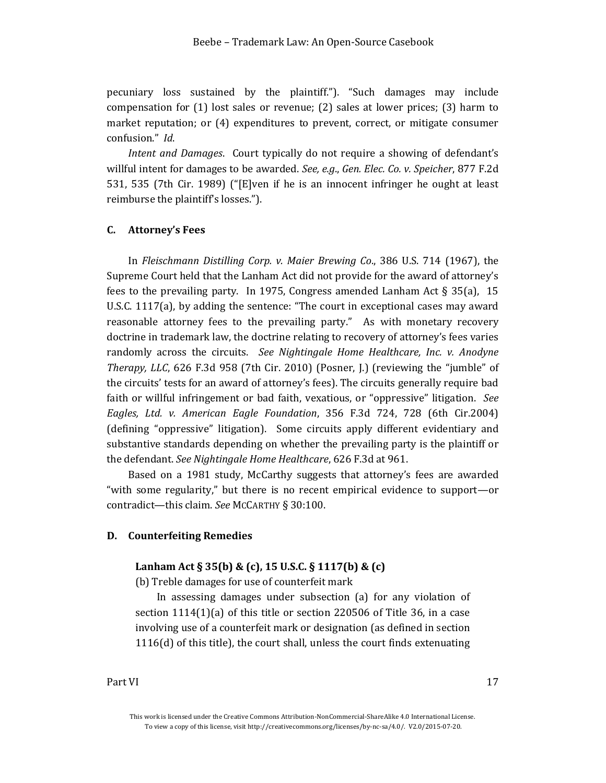pecuniary loss sustained by the plaintiff."). "Such damages may include compensation for (1) lost sales or revenue; (2) sales at lower prices; (3) harm to market reputation; or (4) expenditures to prevent, correct, or mitigate consumer confusion." *Id*.

*Intent and Damages*. Court typically do not require a showing of defendant's willful intent for damages to be awarded. *See, e.g*., *Gen. Elec. Co. v. Speicher*, 877 F.2d 531, 535 (7th Cir. 1989) ("[E]ven if he is an innocent infringer he ought at least reimburse the plaintiff's losses.").

#### <span id="page-16-0"></span>**C. Attorney's Fees**

In *Fleischmann Distilling Corp. v. Maier Brewing Co*., 386 U.S. 714 (1967), the Supreme Court held that the Lanham Act did not provide for the award of attorney's fees to the prevailing party. In 1975, Congress amended Lanham Act  $\S 35(a)$ , 15 U.S.C. 1117(a), by adding the sentence: "The court in exceptional cases may award reasonable attorney fees to the prevailing party." As with monetary recovery doctrine in trademark law, the doctrine relating to recovery of attorney's fees varies randomly across the circuits. *See Nightingale Home Healthcare, Inc. v. Anodyne Therapy, LLC*, 626 F.3d 958 (7th Cir. 2010) (Posner, J.) (reviewing the "jumble" of the circuits' tests for an award of attorney's fees). The circuits generally require bad faith or willful infringement or bad faith, vexatious, or "oppressive" litigation. *See Eagles, Ltd. v. American Eagle Foundation*, 356 F.3d 724, 728 (6th Cir.2004) (defining "oppressive" litigation). Some circuits apply different evidentiary and substantive standards depending on whether the prevailing party is the plaintiff or the defendant. *See Nightingale Home Healthcare*, 626 F.3d at 961.

Based on a 1981 study, McCarthy suggests that attorney's fees are awarded "with some regularity," but there is no recent empirical evidence to support—or contradict—this claim. *See* MCCARTHY § 30:100.

#### <span id="page-16-1"></span>**D. Counterfeiting Remedies**

## **Lanham Act § 35(b) & (c), 15 U.S.C. § 1117(b) & (c)**

(b) Treble damages for use of counterfeit mark

In assessing damages under subsection (a) for any violation of section 1114(1)(a) of this title or section 220506 of Title 36, in a case involving use of a counterfeit mark or designation (as defined in section 1116(d) of this title), the court shall, unless the court finds extenuating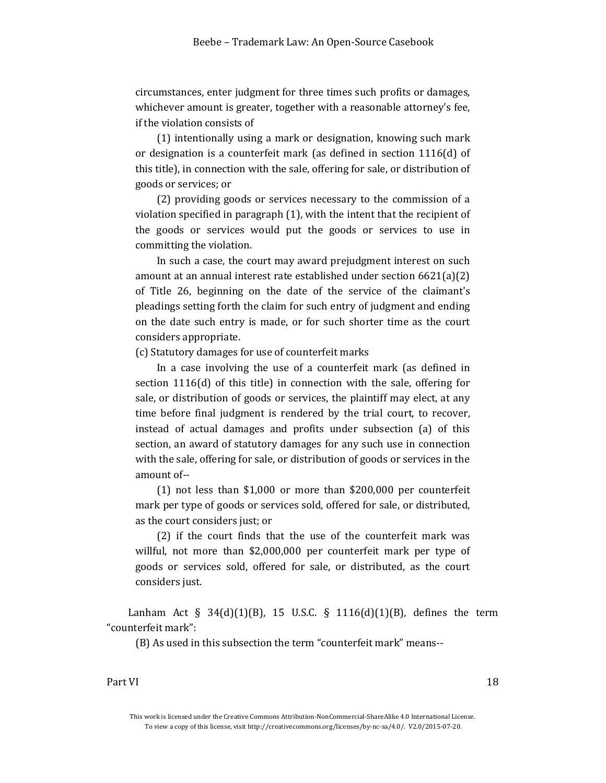circumstances, enter judgment for three times such profits or damages, whichever amount is greater, together with a reasonable attorney's fee, if the violation consists of

(1) intentionally using a mark or designation, knowing such mark or designation is a counterfeit mark (as defined in section 1116(d) of this title), in connection with the sale, offering for sale, or distribution of goods or services; or

(2) providing goods or services necessary to the commission of a violation specified in paragraph (1), with the intent that the recipient of the goods or services would put the goods or services to use in committing the violation.

In such a case, the court may award prejudgment interest on such amount at an annual interest rate established under section 6621(a)(2) of Title 26, beginning on the date of the service of the claimant's pleadings setting forth the claim for such entry of judgment and ending on the date such entry is made, or for such shorter time as the court considers appropriate.

(c) Statutory damages for use of counterfeit marks

In a case involving the use of a counterfeit mark (as defined in section 1116(d) of this title) in connection with the sale, offering for sale, or distribution of goods or services, the plaintiff may elect, at any time before final judgment is rendered by the trial court, to recover, instead of actual damages and profits under subsection (a) of this section, an award of statutory damages for any such use in connection with the sale, offering for sale, or distribution of goods or services in the amount of--

(1) not less than \$1,000 or more than \$200,000 per counterfeit mark per type of goods or services sold, offered for sale, or distributed, as the court considers just; or

(2) if the court finds that the use of the counterfeit mark was willful, not more than \$2,000,000 per counterfeit mark per type of goods or services sold, offered for sale, or distributed, as the court considers just.

Lanham Act § 34(d)(1)(B), 15 U.S.C. § 1116(d)(1)(B), defines the term "counterfeit mark":

(B) As used in this subsection the term "counterfeit mark" means--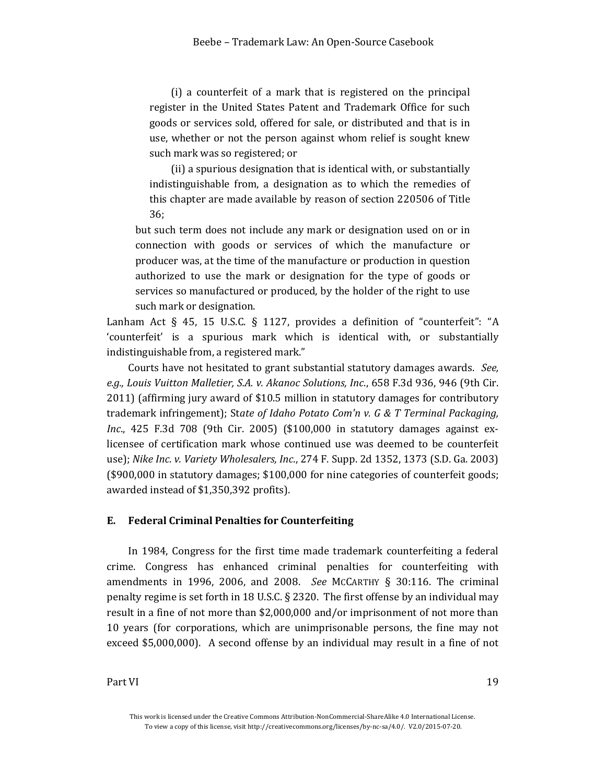(i) a counterfeit of a mark that is registered on the principal register in the United States Patent and Trademark Office for such goods or services sold, offered for sale, or distributed and that is in use, whether or not the person against whom relief is sought knew such mark was so registered; or

(ii) a spurious designation that is identical with, or substantially indistinguishable from, a designation as to which the remedies of this chapter are made available by reason of section 220506 of Title 36;

but such term does not include any mark or designation used on or in connection with goods or services of which the manufacture or producer was, at the time of the manufacture or production in question authorized to use the mark or designation for the type of goods or services so manufactured or produced, by the holder of the right to use such mark or designation.

Lanham Act § 45, 15 U.S.C. § 1127, provides a definition of "counterfeit": "A 'counterfeit' is a spurious mark which is identical with, or substantially indistinguishable from, a registered mark."

Courts have not hesitated to grant substantial statutory damages awards. *See, e.g., Louis Vuitton Malletier, S.A. v. Akanoc Solutions, Inc*., 658 F.3d 936, 946 (9th Cir. 2011) (affirming jury award of \$10.5 million in statutory damages for contributory trademark infringement); St*ate of Idaho Potato Com'n v. G & T Terminal Packaging, Inc*., 425 F.3d 708 (9th Cir. 2005) (\$100,000 in statutory damages against exlicensee of certification mark whose continued use was deemed to be counterfeit use); *Nike Inc. v. Variety Wholesalers, Inc*., 274 F. Supp. 2d 1352, 1373 (S.D. Ga. 2003) (\$900,000 in statutory damages; \$100,000 for nine categories of counterfeit goods; awarded instead of \$1,350,392 profits).

### <span id="page-18-0"></span>**E. Federal Criminal Penalties for Counterfeiting**

In 1984, Congress for the first time made trademark counterfeiting a federal crime. Congress has enhanced criminal penalties for counterfeiting with amendments in 1996, 2006, and 2008. *See* MCCARTHY § 30:116. The criminal penalty regime is set forth in 18 U.S.C. § 2320. The first offense by an individual may result in a fine of not more than \$2,000,000 and/or imprisonment of not more than 10 years (for corporations, which are unimprisonable persons, the fine may not exceed \$5,000,000). A second offense by an individual may result in a fine of not

This work is licensed under the Creative Commons Attribution-NonCommercial-ShareAlike 4.0 International License. To view a copy of this license, visit http://creativecommons.org/licenses/by-nc-sa/4.0/. V2.0/2015-07-20.